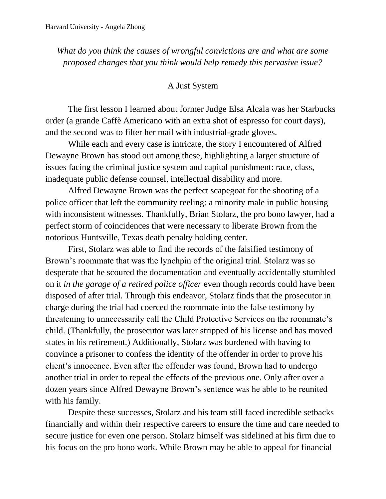*What do you think the causes of wrongful convictions are and what are some proposed changes that you think would help remedy this pervasive issue?*

## A Just System

The first lesson I learned about former Judge Elsa Alcala was her Starbucks order (a grande Caffè Americano with an extra shot of espresso for court days), and the second was to filter her mail with industrial-grade gloves.

While each and every case is intricate, the story I encountered of Alfred Dewayne Brown has stood out among these, highlighting a larger structure of issues facing the criminal justice system and capital punishment: race, class, inadequate public defense counsel, intellectual disability and more.

Alfred Dewayne Brown was the perfect scapegoat for the shooting of a police officer that left the community reeling: a minority male in public housing with inconsistent witnesses. Thankfully, Brian Stolarz, the pro bono lawyer, had a perfect storm of coincidences that were necessary to liberate Brown from the notorious Huntsville, Texas death penalty holding center.

First, Stolarz was able to find the records of the falsified testimony of Brown's roommate that was the lynchpin of the original trial. Stolarz was so desperate that he scoured the documentation and eventually accidentally stumbled on it *in the garage of a retired police officer* even though records could have been disposed of after trial. Through this endeavor, Stolarz finds that the prosecutor in charge during the trial had coerced the roommate into the false testimony by threatening to unnecessarily call the Child Protective Services on the roommate's child. (Thankfully, the prosecutor was later stripped of his license and has moved states in his retirement.) Additionally, Stolarz was burdened with having to convince a prisoner to confess the identity of the offender in order to prove his client's innocence. Even after the offender was found, Brown had to undergo another trial in order to repeal the effects of the previous one. Only after over a dozen years since Alfred Dewayne Brown's sentence was he able to be reunited with his family.

Despite these successes, Stolarz and his team still faced incredible setbacks financially and within their respective careers to ensure the time and care needed to secure justice for even one person. Stolarz himself was sidelined at his firm due to his focus on the pro bono work. While Brown may be able to appeal for financial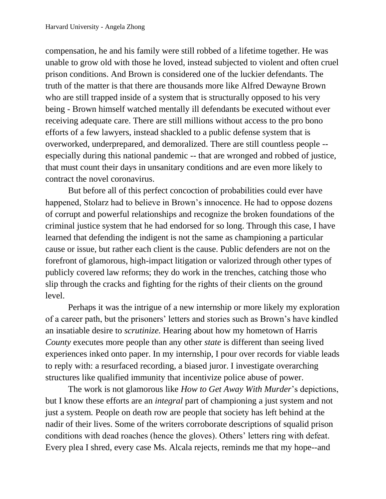compensation, he and his family were still robbed of a lifetime together. He was unable to grow old with those he loved, instead subjected to violent and often cruel prison conditions. And Brown is considered one of the luckier defendants. The truth of the matter is that there are thousands more like Alfred Dewayne Brown who are still trapped inside of a system that is structurally opposed to his very being - Brown himself watched mentally ill defendants be executed without ever receiving adequate care. There are still millions without access to the pro bono efforts of a few lawyers, instead shackled to a public defense system that is overworked, underprepared, and demoralized. There are still countless people - especially during this national pandemic -- that are wronged and robbed of justice, that must count their days in unsanitary conditions and are even more likely to contract the novel coronavirus.

But before all of this perfect concoction of probabilities could ever have happened, Stolarz had to believe in Brown's innocence. He had to oppose dozens of corrupt and powerful relationships and recognize the broken foundations of the criminal justice system that he had endorsed for so long. Through this case, I have learned that defending the indigent is not the same as championing a particular cause or issue, but rather each client is the cause. Public defenders are not on the forefront of glamorous, high-impact litigation or valorized through other types of publicly covered law reforms; they do work in the trenches, catching those who slip through the cracks and fighting for the rights of their clients on the ground level.

Perhaps it was the intrigue of a new internship or more likely my exploration of a career path, but the prisoners' letters and stories such as Brown's have kindled an insatiable desire to *scrutinize.* Hearing about how my hometown of Harris *County* executes more people than any other *state* is different than seeing lived experiences inked onto paper. In my internship, I pour over records for viable leads to reply with: a resurfaced recording, a biased juror. I investigate overarching structures like qualified immunity that incentivize police abuse of power.

The work is not glamorous like *How to Get Away With Murder*'s depictions, but I know these efforts are an *integral* part of championing a just system and not just a system*.* People on death row are people that society has left behind at the nadir of their lives. Some of the writers corroborate descriptions of squalid prison conditions with dead roaches (hence the gloves). Others' letters ring with defeat. Every plea I shred, every case Ms. Alcala rejects, reminds me that my hope--and